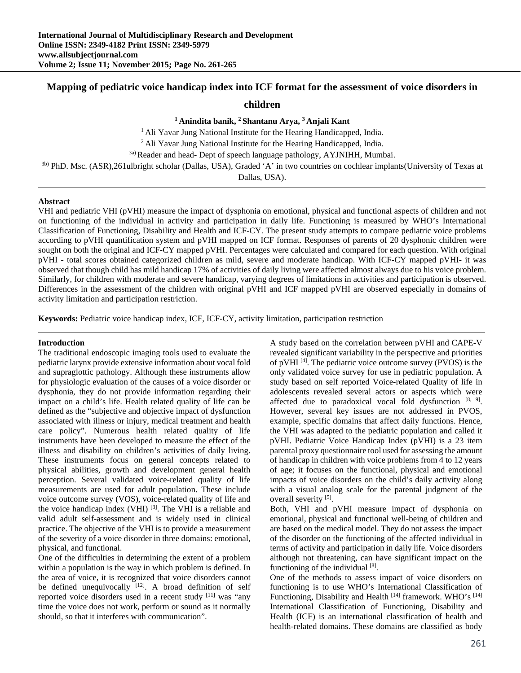# **Mapping of pediatric voice handicap index into ICF format for the assessment of voice disorders in**

# **children**

**1 Anindita banik, 2 Shantanu Arya, 3 Anjali Kant** 

<sup>1</sup> Ali Yavar Jung National Institute for the Hearing Handicapped, India.<br><sup>2</sup> Ali Yavar Jung National Institute for the Hearing Handicapped, India.

<sup>3a)</sup> Reader and head- Dept of speech language pathology, AYJNIHH, Mumbai.

3b) PhD. Msc. (ASR),261ulbright scholar (Dallas, USA), Graded 'A' in two countries on cochlear implants(University of Texas at

Dallas, USA).

### **Abstract**

VHI and pediatric VHI (pVHI) measure the impact of dysphonia on emotional, physical and functional aspects of children and not on functioning of the individual in activity and participation in daily life. Functioning is measured by WHO's International Classification of Functioning, Disability and Health and ICF-CY. The present study attempts to compare pediatric voice problems according to pVHI quantification system and pVHI mapped on ICF format. Responses of parents of 20 dysphonic children were sought on both the original and ICF-CY mapped pVHI. Percentages were calculated and compared for each question. With original pVHI - total scores obtained categorized children as mild, severe and moderate handicap. With ICF-CY mapped pVHI- it was observed that though child has mild handicap 17% of activities of daily living were affected almost always due to his voice problem. Similarly, for children with moderate and severe handicap, varying degrees of limitations in activities and participation is observed. Differences in the assessment of the children with original pVHI and ICF mapped pVHI are observed especially in domains of activity limitation and participation restriction.

**Keywords:** Pediatric voice handicap index, ICF, ICF-CY, activity limitation, participation restriction

### **Introduction**

The traditional endoscopic imaging tools used to evaluate the pediatric larynx provide extensive information about vocal fold and supraglottic pathology. Although these instruments allow for physiologic evaluation of the causes of a voice disorder or dysphonia, they do not provide information regarding their impact on a child's life. Health related quality of life can be defined as the "subjective and objective impact of dysfunction associated with illness or injury, medical treatment and health care policy". Numerous health related quality of life instruments have been developed to measure the effect of the illness and disability on children's activities of daily living. These instruments focus on general concepts related to physical abilities, growth and development general health perception. Several validated voice-related quality of life measurements are used for adult population. These include voice outcome survey (VOS), voice-related quality of life and the voice handicap index (VHI) <sup>[3]</sup>. The VHI is a reliable and valid adult self-assessment and is widely used in clinical practice. The objective of the VHI is to provide a measurement of the severity of a voice disorder in three domains: emotional, physical, and functional.

One of the difficulties in determining the extent of a problem within a population is the way in which problem is defined. In the area of voice, it is recognized that voice disorders cannot be defined unequivocally  $[12]$ . A broad definition of self reported voice disorders used in a recent study [11] was "any time the voice does not work, perform or sound as it normally should, so that it interferes with communication".

A study based on the correlation between pVHI and CAPE-V revealed significant variability in the perspective and priorities of pVHI [4]. The pediatric voice outcome survey (PVOS) is the only validated voice survey for use in pediatric population. A study based on self reported Voice-related Quality of life in adolescents revealed several actors or aspects which were affected due to paradoxical vocal fold dysfunction  $[8, 9]$ . However, several key issues are not addressed in PVOS, example, specific domains that affect daily functions. Hence, the VHI was adapted to the pediatric population and called it pVHI. Pediatric Voice Handicap Index (pVHI) is a 23 item parental proxy questionnaire tool used for assessing the amount of handicap in children with voice problems from 4 to 12 years of age; it focuses on the functional, physical and emotional impacts of voice disorders on the child's daily activity along with a visual analog scale for the parental judgment of the overall severity [5].

Both, VHI and pVHI measure impact of dysphonia on emotional, physical and functional well-being of children and are based on the medical model. They do not assess the impact of the disorder on the functioning of the affected individual in terms of activity and participation in daily life. Voice disorders although not threatening, can have significant impact on the functioning of the individual  $[8]$ .

One of the methods to assess impact of voice disorders on functioning is to use WHO's International Classification of Functioning, Disability and Health [14] framework. WHO's [14] International Classification of Functioning, Disability and Health (ICF) is an international classification of health and health-related domains. These domains are classified as body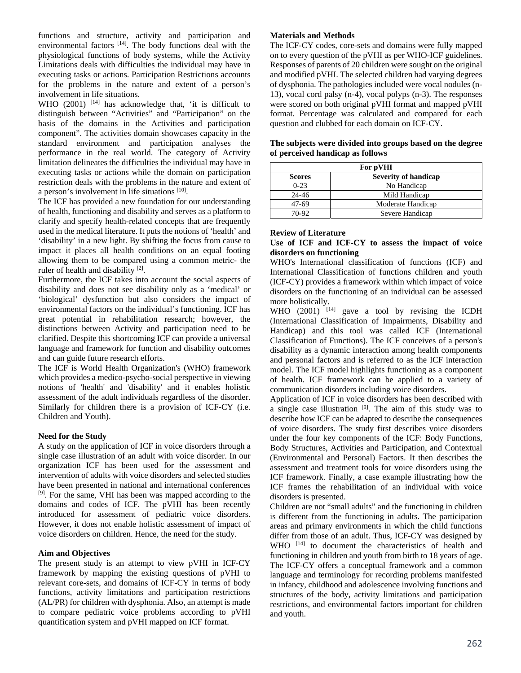functions and structure, activity and participation and environmental factors [14]. The body functions deal with the physiological functions of body systems, while the Activity Limitations deals with difficulties the individual may have in executing tasks or actions. Participation Restrictions accounts for the problems in the nature and extent of a person's involvement in life situations.

WHO (2001) <sup>[14]</sup> has acknowledge that, 'it is difficult to distinguish between "Activities" and "Participation" on the basis of the domains in the Activities and participation component". The activities domain showcases capacity in the standard environment and participation analyses the performance in the real world. The category of Activity limitation delineates the difficulties the individual may have in executing tasks or actions while the domain on participation restriction deals with the problems in the nature and extent of a person's involvement in life situations [10].

The ICF has provided a new foundation for our understanding of health, functioning and disability and serves as a platform to clarify and specify health-related concepts that are frequently used in the medical literature. It puts the notions of 'health' and 'disability' in a new light. By shifting the focus from cause to impact it places all health conditions on an equal footing allowing them to be compared using a common metric- the ruler of health and disability  $[2]$ .

Furthermore, the ICF takes into account the social aspects of disability and does not see disability only as a 'medical' or 'biological' dysfunction but also considers the impact of environmental factors on the individual's functioning. ICF has great potential in rehabilitation research; however, the distinctions between Activity and participation need to be clarified. Despite this shortcoming ICF can provide a universal language and framework for function and disability outcomes and can guide future research efforts.

The ICF is World Health Organization's (WHO) framework which provides a medico-psycho-social perspective in viewing notions of 'health' and 'disability' and it enables holistic assessment of the adult individuals regardless of the disorder. Similarly for children there is a provision of ICF-CY (i.e. Children and Youth).

# **Need for the Study**

A study on the application of ICF in voice disorders through a single case illustration of an adult with voice disorder. In our organization ICF has been used for the assessment and intervention of adults with voice disorders and selected studies have been presented in national and international conferences [9]. For the same, VHI has been was mapped according to the domains and codes of ICF. The pVHI has been recently introduced for assessment of pediatric voice disorders. However, it does not enable holistic assessment of impact of voice disorders on children. Hence, the need for the study.

### **Aim and Objectives**

The present study is an attempt to view pVHI in ICF-CY framework by mapping the existing questions of pVHI to relevant core-sets, and domains of ICF-CY in terms of body functions, activity limitations and participation restrictions (AL/PR) for children with dysphonia. Also, an attempt is made to compare pediatric voice problems according to pVHI quantification system and pVHI mapped on ICF format.

#### **Materials and Methods**

The ICF-CY codes, core-sets and domains were fully mapped on to every question of the pVHI as per WHO-ICF guidelines. Responses of parents of 20 children were sought on the original and modified pVHI. The selected children had varying degrees of dysphonia. The pathologies included were vocal nodules (n-13), vocal cord palsy (n-4), vocal polyps (n-3). The responses were scored on both original pVHI format and mapped pVHI format. Percentage was calculated and compared for each question and clubbed for each domain on ICF-CY.

| For pVHI      |                             |  |  |
|---------------|-----------------------------|--|--|
| <b>Scores</b> | <b>Severity of handicap</b> |  |  |
| $0 - 23$      | No Handicap                 |  |  |
| $24 - 46$     | Mild Handicap               |  |  |
| 47-69         | Moderate Handicap           |  |  |
| 70-92         | Severe Handicap             |  |  |

### **The subjects were divided into groups based on the degree of perceived handicap as follows**

### **Review of Literature**

### **Use of ICF and ICF-CY to assess the impact of voice disorders on functioning**

WHO's International classification of functions (ICF) and International Classification of functions children and youth (ICF-CY) provides a framework within which impact of voice disorders on the functioning of an individual can be assessed more holistically.

WHO  $(2001)$ <sup>[14]</sup> gave a tool by revising the ICDH (International Classification of Impairments, Disability and Handicap) and this tool was called ICF (International Classification of Functions). The ICF conceives of a person's disability as a dynamic interaction among health components and personal factors and is referred to as the ICF interaction model. The ICF model highlights functioning as a component of health. ICF framework can be applied to a variety of communication disorders including voice disorders.

Application of ICF in voice disorders has been described with a single case illustration [9]. The aim of this study was to describe how ICF can be adapted to describe the consequences of voice disorders. The study first describes voice disorders under the four key components of the ICF: Body Functions, Body Structures, Activities and Participation, and Contextual (Environmental and Personal) Factors. It then describes the assessment and treatment tools for voice disorders using the ICF framework. Finally, a case example illustrating how the ICF frames the rehabilitation of an individual with voice disorders is presented.

Children are not "small adults" and the functioning in children is different from the functioning in adults. The participation areas and primary environments in which the child functions differ from those of an adult. Thus, ICF-CY was designed by WHO <sup>[14]</sup> to document the characteristics of health and functioning in children and youth from birth to 18 years of age. The ICF-CY offers a conceptual framework and a common language and terminology for recording problems manifested in infancy, childhood and adolescence involving functions and structures of the body, activity limitations and participation restrictions, and environmental factors important for children and youth.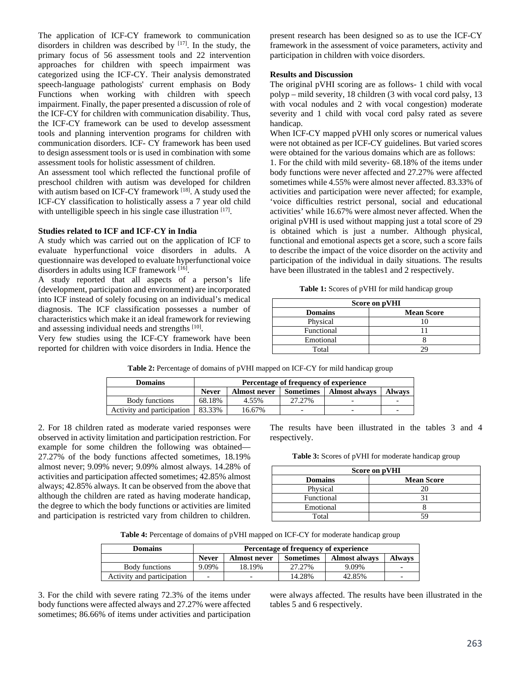The application of ICF-CY framework to communication disorders in children was described by  $[17]$ . In the study, the primary focus of 56 assessment tools and 22 intervention approaches for children with speech impairment was categorized using the ICF-CY. Their analysis demonstrated speech-language pathologists' current emphasis on Body Functions when working with children with speech impairment. Finally, the paper presented a discussion of role of the ICF-CY for children with communication disability. Thus, the ICF-CY framework can be used to develop assessment tools and planning intervention programs for children with communication disorders. ICF- CY framework has been used to design assessment tools or is used in combination with some assessment tools for holistic assessment of children.

An assessment tool which reflected the functional profile of preschool children with autism was developed for children with autism based on ICF-CY framework [18]. A study used the ICF-CY classification to holistically assess a 7 year old child with untelligible speech in his single case illustration [17].

#### **Studies related to ICF and ICF-CY in India**

A study which was carried out on the application of ICF to evaluate hyperfunctional voice disorders in adults. A questionnaire was developed to evaluate hyperfunctional voice disorders in adults using ICF framework [16].

A study reported that all aspects of a person's life (development, participation and environment) are incorporated into ICF instead of solely focusing on an individual's medical diagnosis. The ICF classification possesses a number of characteristics which make it an ideal framework for reviewing and assessing individual needs and strengths [10].

Very few studies using the ICF-CY framework have been reported for children with voice disorders in India. Hence the present research has been designed so as to use the ICF-CY framework in the assessment of voice parameters, activity and participation in children with voice disorders.

# **Results and Discussion**

The original pVHI scoring are as follows- 1 child with vocal polyp – mild severity, 18 children (3 with vocal cord palsy, 13 with vocal nodules and 2 with vocal congestion) moderate severity and 1 child with vocal cord palsy rated as severe handicap.

When ICF-CY mapped pVHI only scores or numerical values were not obtained as per ICF-CY guidelines. But varied scores were obtained for the various domains which are as follows:

1. For the child with mild severity- 68.18% of the items under body functions were never affected and 27.27% were affected sometimes while 4.55% were almost never affected. 83.33% of activities and participation were never affected; for example, 'voice difficulties restrict personal, social and educational activities' while 16.67% were almost never affected. When the original pVHI is used without mapping just a total score of 29 is obtained which is just a number. Although physical, functional and emotional aspects get a score, such a score fails to describe the impact of the voice disorder on the activity and participation of the individual in daily situations. The results have been illustrated in the tables1 and 2 respectively.

**Table 1:** Scores of pVHI for mild handicap group

| Score on pVHI  |                   |  |  |
|----------------|-------------------|--|--|
| <b>Domains</b> | <b>Mean Score</b> |  |  |
| Physical       |                   |  |  |
| Functional     |                   |  |  |
| Emotional      |                   |  |  |
| Total          |                   |  |  |

**Table 2:** Percentage of domains of pVHI mapped on ICF-CY for mild handicap group

| Domains                    | Percentage of frequency of experience |                     |                  |                      |               |
|----------------------------|---------------------------------------|---------------------|------------------|----------------------|---------------|
|                            | <b>Never</b>                          | <b>Almost never</b> | <b>Sometimes</b> | <b>Almost always</b> | <b>Always</b> |
| Body functions             | 68.18%                                | 4.55%               | 27.27%           |                      |               |
| Activity and participation | 83.33%                                | 16.67%              |                  |                      |               |

2. For 18 children rated as moderate varied responses were observed in activity limitation and participation restriction. For example for some children the following was obtained— 27.27% of the body functions affected sometimes, 18.19% almost never; 9.09% never; 9.09% almost always. 14.28% of activities and participation affected sometimes; 42.85% almost always; 42.85% always. It can be observed from the above that although the children are rated as having moderate handicap, the degree to which the body functions or activities are limited and participation is restricted vary from children to children.

The results have been illustrated in the tables 3 and 4 respectively.

**Table 3:** Scores of pVHI for moderate handicap group

| Score on pVHI  |                   |  |  |  |
|----------------|-------------------|--|--|--|
| <b>Domains</b> | <b>Mean Score</b> |  |  |  |
| Physical       | 20                |  |  |  |
| Functional     |                   |  |  |  |
| Emotional      |                   |  |  |  |
| Total          |                   |  |  |  |

**Table 4:** Percentage of domains of pVHI mapped on ICF-CY for moderate handicap group

| <b>Domains</b>             | Percentage of frequency of experience |              |                  |                      |        |
|----------------------------|---------------------------------------|--------------|------------------|----------------------|--------|
|                            | <b>Never</b>                          | Almost never | <b>Sometimes</b> | <b>Almost always</b> | Alwavs |
| Body functions             | 9.09%                                 | 18.19%       | 27.27%           | 9.09%                |        |
| Activity and participation |                                       |              | 14.28%           | 42.85%               |        |

3. For the child with severe rating 72.3% of the items under body functions were affected always and 27.27% were affected sometimes; 86.66% of items under activities and participation

were always affected. The results have been illustrated in the tables 5 and 6 respectively.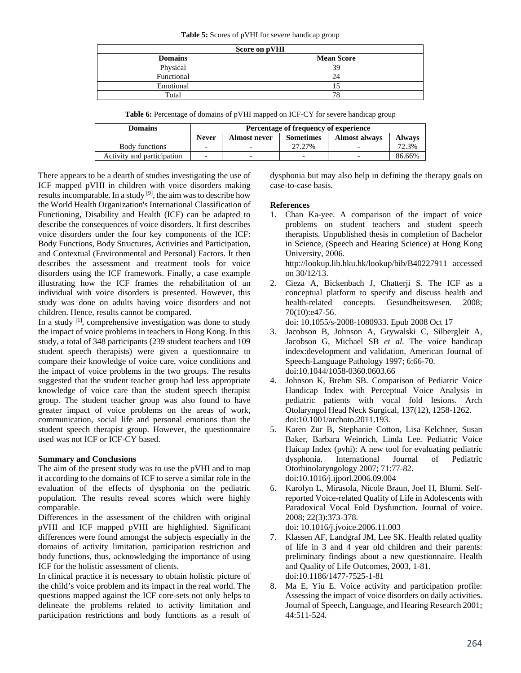#### **Table 5:** Scores of pVHI for severe handicap group

| Score on pVHI  |                   |  |  |  |
|----------------|-------------------|--|--|--|
| <b>Domains</b> | <b>Mean Score</b> |  |  |  |
| Physical       | 39                |  |  |  |
| Functional     | 24                |  |  |  |
| Emotional      |                   |  |  |  |
| Total          | 78                |  |  |  |

**Table 6:** Percentage of domains of pVHI mapped on ICF-CY for severe handicap group

| <b>Domains</b>             | Percentage of frequency of experience |                     |                  |                      |               |
|----------------------------|---------------------------------------|---------------------|------------------|----------------------|---------------|
|                            | <b>Never</b>                          | <b>Almost never</b> | <b>Sometimes</b> | <b>Almost always</b> | <b>Always</b> |
| Body functions             |                                       |                     | 27.27%           |                      | 72.3%         |
| Activity and participation |                                       |                     |                  |                      | 86.66%        |

There appears to be a dearth of studies investigating the use of ICF mapped pVHI in children with voice disorders making results incomparable. In a study  $[9]$ , the aim was to describe how the World Health Organization's International Classification of Functioning, Disability and Health (ICF) can be adapted to describe the consequences of voice disorders. It first describes voice disorders under the four key components of the ICF: Body Functions, Body Structures, Activities and Participation, and Contextual (Environmental and Personal) Factors. It then describes the assessment and treatment tools for voice disorders using the ICF framework. Finally, a case example illustrating how the ICF frames the rehabilitation of an individual with voice disorders is presented. However, this study was done on adults having voice disorders and not children. Hence, results cannot be compared.

In a study  $[1]$ , comprehensive investigation was done to study the impact of voice problems in teachers in Hong Kong. In this study, a total of 348 participants (239 student teachers and 109 student speech therapists) were given a questionnaire to compare their knowledge of voice care, voice conditions and the impact of voice problems in the two groups. The results suggested that the student teacher group had less appropriate knowledge of voice care than the student speech therapist group. The student teacher group was also found to have greater impact of voice problems on the areas of work, communication, social life and personal emotions than the student speech therapist group. However, the questionnaire used was not ICF or ICF-CY based.

# **Summary and Conclusions**

The aim of the present study was to use the pVHI and to map it according to the domains of ICF to serve a similar role in the evaluation of the effects of dysphonia on the pediatric population. The results reveal scores which were highly comparable.

Differences in the assessment of the children with original pVHI and ICF mapped pVHI are highlighted. Significant differences were found amongst the subjects especially in the domains of activity limitation, participation restriction and body functions, thus, acknowledging the importance of using ICF for the holistic assessment of clients.

In clinical practice it is necessary to obtain holistic picture of the child's voice problem and its impact in the real world. The questions mapped against the ICF core-sets not only helps to delineate the problems related to activity limitation and participation restrictions and body functions as a result of

dysphonia but may also help in defining the therapy goals on case-to-case basis.

# **References**

1. Chan Ka-yee. A comparison of the impact of voice problems on student teachers and student speech therapists. Unpublished thesis in completion of Bachelor in Science, (Speech and Hearing Science) at Hong Kong University, 2006.

http://lookup.lib.hku.hk/lookup/bib/B40227911 accessed on 30/12/13.

2. Cieza A, Bickenbach J, Chatterji S. The ICF as a conceptual platform to specify and discuss health and health-related concepts. Gesundheitswesen. 2008; 70(10):e47-56.

doi: 10.1055/s-2008-1080933. Epub 2008 Oct 17

- 3. Jacobson B, Johnson A, Grywalski C, Silbergleit A, Jacobson G, Michael SB *et al*. The voice handicap index:development and validation, American Journal of Speech-Language Pathology 1997; 6:66-70. doi:10.1044/1058-0360.0603.66
- 4. Johnson K, Brehm SB. Comparison of Pediatric Voice Handicap Index with Perceptual Voice Analysis in pediatric patients with vocal fold lesions. Arch Otolaryngol Head Neck Surgical, 137(12), 1258-1262. doi:10.1001/archoto.2011.193.
- 5. Karen Zur B, Stephanie Cotton, Lisa Kelchner, Susan Baker, Barbara Weinrich, Linda Lee. Pediatric Voice Haicap Index (pvhi): A new tool for evaluating pediatric dysphonia. International Journal of Pediatric Otorhinolaryngology 2007; 71:77-82. doi:10.1016/j.ijporl.2006.09.004
- 6. Karolyn L, Mirasola, Nicole Braun, Joel H, Blumi. Selfreported Voice-related Quality of Life in Adolescents with Paradoxical Vocal Fold Dysfunction. Journal of voice. 2008; 22(3):373-378.

doi: 10.1016/j.jvoice.2006.11.003

- 7. Klassen AF, Landgraf JM, Lee SK. Health related quality of life in 3 and 4 year old children and their parents: preliminary findings about a new questionnaire. Health and Quality of Life Outcomes, 2003, 1-81. doi:10.1186/1477-7525-1-81
- 8. Ma E, Yiu E. Voice activity and participation profile: Assessing the impact of voice disorders on daily activities. Journal of Speech, Language, and Hearing Research 2001; 44:511-524.